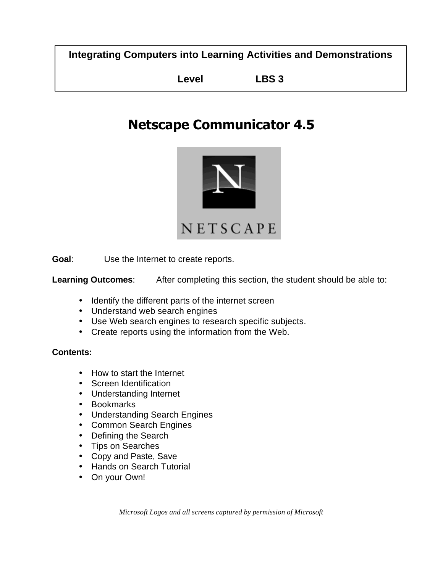**Integrating Computers into Learning Activities and Demonstrations**

**Level LBS 3**

# **Netscape Communicator 4.5**



**Goal**: Use the Internet to create reports.

**Learning Outcomes**: After completing this section, the student should be able to:

- Identify the different parts of the internet screen
- Understand web search engines
- Use Web search engines to research specific subjects.
- Create reports using the information from the Web.

#### **Contents:**

- How to start the Internet
- Screen Identification
- Understanding Internet
- Bookmarks
- Understanding Search Engines
- Common Search Engines
- Defining the Search
- Tips on Searches
- Copy and Paste, Save
- Hands on Search Tutorial
- On your Own!

*Microsoft Logos and all screens captured by permission of Microsoft*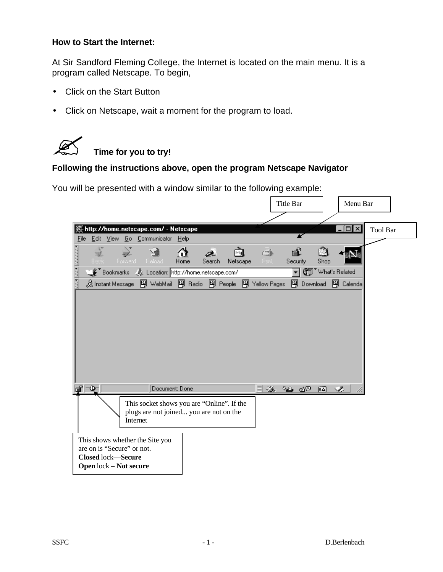#### **How to Start the Internet:**

At Sir Sandford Fleming College, the Internet is located on the main menu. It is a program called Netscape. To begin,

- Click on the Start Button
- Click on Netscape, wait a moment for the program to load.



# $\mathscr{L}$  Time for you to try!

# **Following the instructions above, open the program Netscape Navigator**

You will be presented with a window similar to the following example:

|                                                                                                                             | <b>Title Bar</b>                                                                            | Menu Bar                            |
|-----------------------------------------------------------------------------------------------------------------------------|---------------------------------------------------------------------------------------------|-------------------------------------|
| 1 Methor, Whome.netscape.com/ - Netscape. [<br>Edit View Go Communicator Help<br>Eile                                       |                                                                                             | $ \Box$ $\times$<br><b>Tool Bar</b> |
| and and annume<br>ş,<br>⋔<br>My<br>Home<br>Search<br>Netscape<br>-Forward I<br>Related                                      | ∉்<br>繱<br>œ.<br>Security<br>Shop<br>Pard.                                                  |                                     |
| Bookmarks & Location: http://home.netscape.com/                                                                             | ᅱ                                                                                           | (iii) What's Related                |
| 及Instant Message 囤 WebMail 囤 Radio 囤 People 囤 Yellow Pages                                                                  | 图 Download                                                                                  | 图 Calenda                           |
|                                                                                                                             |                                                                                             |                                     |
| ≖<br>Document: Done                                                                                                         | $\frac{1}{2} \frac{d\mathcal{L}_\text{eff}}{d\mathcal{L}_\text{eff}}$<br><u>je go </u><br>國 | Ž                                   |
| This socket shows you are "Online". If the<br>plugs are not joined you are not on the<br>Internet                           |                                                                                             |                                     |
| This shows whether the Site you<br>are on is "Secure" or not.<br><b>Closed</b> lock-Secure<br><b>Open</b> lock – Not secure |                                                                                             |                                     |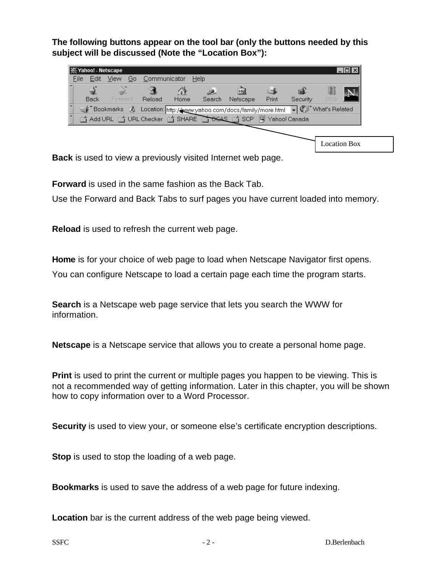**The following buttons appear on the tool bar (only the buttons needed by this subject will be discussed (Note the "Location Box"):**

| <b>类Yahoo! - Netscape</b> |                           |              |      |             |                                                                                      |       |          |                     | \⊥ □ ×\ |
|---------------------------|---------------------------|--------------|------|-------------|--------------------------------------------------------------------------------------|-------|----------|---------------------|---------|
| File<br>Edit              | View <sup>-</sup><br>- Go | Communicator | Help |             |                                                                                      |       |          |                     |         |
| Back                      | <br>Forward               | Reload       | Home | D<br>Search | My<br>Netscape                                                                       | Print | Security | 3<br>Stop           |         |
|                           |                           |              |      |             | Bookmarks X Location: http://www.yahoo.com/docs/family/more.html v @ "What's Related |       |          |                     |         |
|                           |                           |              |      |             | d Add URL d URL Checker d SHARE COSAS d SCP 闯 Yahoo! Canada                          |       |          |                     |         |
|                           |                           |              |      |             |                                                                                      |       |          |                     |         |
|                           |                           |              |      |             |                                                                                      |       |          | <b>Location Box</b> |         |

**Back** is used to view a previously visited Internet web page.

**Forward** is used in the same fashion as the Back Tab.

Use the Forward and Back Tabs to surf pages you have current loaded into memory.

**Reload** is used to refresh the current web page.

**Home** is for your choice of web page to load when Netscape Navigator first opens.

You can configure Netscape to load a certain page each time the program starts.

**Search** is a Netscape web page service that lets you search the WWW for information.

**Netscape** is a Netscape service that allows you to create a personal home page.

**Print** is used to print the current or multiple pages you happen to be viewing. This is not a recommended way of getting information. Later in this chapter, you will be shown how to copy information over to a Word Processor.

**Security** is used to view your, or someone else's certificate encryption descriptions.

**Stop** is used to stop the loading of a web page.

**Bookmarks** is used to save the address of a web page for future indexing.

**Location** bar is the current address of the web page being viewed.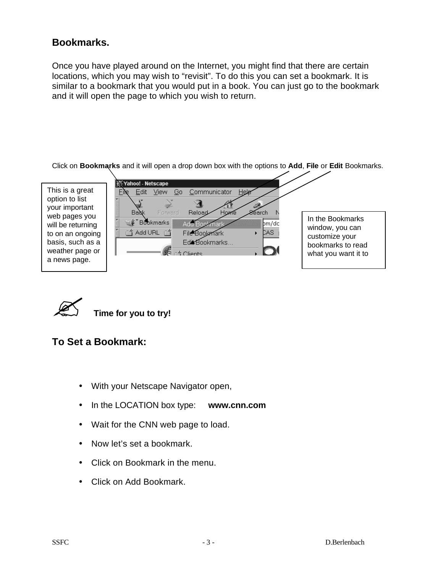# **Bookmarks.**

Once you have played around on the Internet, you might find that there are certain locations, which you may wish to "revisit". To do this you can set a bookmark. It is similar to a bookmark that you would put in a book. You can just go to the bookmark and it will open the page to which you wish to return.

Click on **Bookmarks** and it will open a drop down box with the options to **Add**, **File** or **Edit** Bookmarks.

| This is a great<br>option to list<br>your important<br>web pages you<br>will be returning<br>to on an ongoing<br>basis, such as a<br>weather page or | Y Yahoo! - Netscape<br>Help<br>Communicator<br>View:<br>File<br>Go.<br>Edit<br>$\cdots$<br>200 m<br>Back<br>Forward<br>Reload<br>Home<br>8éarch<br>In the Bookmarks<br><b>S</b> <sup>*</sup> Bookmarks<br>Adu Book<br>$\mathsf{b}$ m/dc<br>kmark<br>window, you can<br><b>ゴ Add URL</b> 1コ<br>CAS.<br>File Bookmark<br>customize your<br>Edic Bookmarks<br>bookmarks to read<br>т<br>$-4$ Clients<br>what you want it to |
|------------------------------------------------------------------------------------------------------------------------------------------------------|--------------------------------------------------------------------------------------------------------------------------------------------------------------------------------------------------------------------------------------------------------------------------------------------------------------------------------------------------------------------------------------------------------------------------|
| a news page.                                                                                                                                         |                                                                                                                                                                                                                                                                                                                                                                                                                          |



? **Time for you to try!**

### **To Set a Bookmark:**

- With your Netscape Navigator open,
- In the LOCATION box type: **www.cnn.com**
- Wait for the CNN web page to load.
- Now let's set a bookmark.
- Click on Bookmark in the menu.
- Click on Add Bookmark.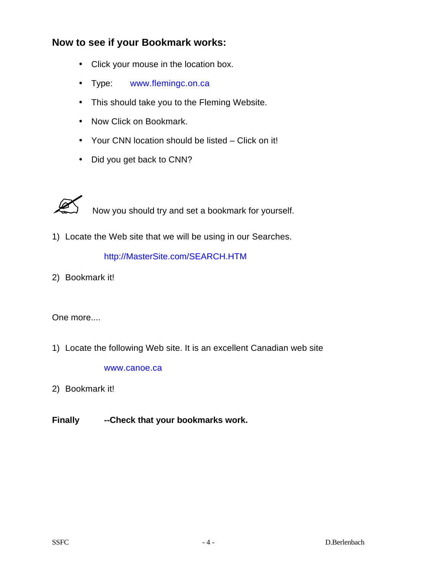# **Now to see if your Bookmark works:**

- Click your mouse in the location box.
- Type: [www.flemingc.on.ca](http://www.flemingc.on.ca)
- This should take you to the Fleming Website.
- Now Click on Bookmark.
- Your CNN location should be listed Click on it!
- Did you get back to CNN?



Now you should try and set a bookmark for yourself.

1) Locate the Web site that we will be using in our Searches.

<http://MasterSite.com/SEARCH.HTM>

2) Bookmark it!

#### One more....

1) Locate the following Web site. It is an excellent Canadian web site

[www.canoe.ca](http://www.canoe.ca)

- 2) Bookmark it!
- **Finally --Check that your bookmarks work.**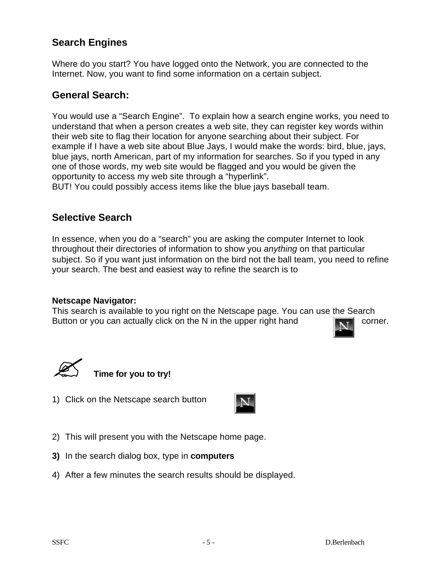# **Search Engines**

Where do you start? You have logged onto the Network, you are connected to the Internet. Now, you want to find some information on a certain subject.

#### **General Search:**

You would use a "Search Engine". To explain how a search engine works, you need to understand that when a person creates a web site, they can register key words within their web site to flag their location for anyone searching about their subject. For example if I have a web site about Blue Jays, I would make the words: bird, blue, jays, blue jays, north American, part of my information for searches. So if you typed in any one of those words, my web site would be flagged and you would be given the opportunity to access my web site through a "hyperlink".

BUT! You could possibly access items like the blue jays baseball team.

## **Selective Search**

In essence, when you do a "search" you are asking the computer Internet to look throughout their directories of information to show you *anything* on that particular subject. So if you want just information on the bird not the ball team, you need to refine your search. The best and easiest way to refine the search is to

#### **Netscape Navigator:**

This search is available to you right on the Netscape page. You can use the Search Button or you can actually click on the N in the upper right hand  $\mathbb{R}$ 



**Time for you to try!** 

1) Click on the Netscape search button



- 2) This will present you with the Netscape home page.
- **3)** In the search dialog box, type in **computers**
- 4) After a few minutes the search results should be displayed.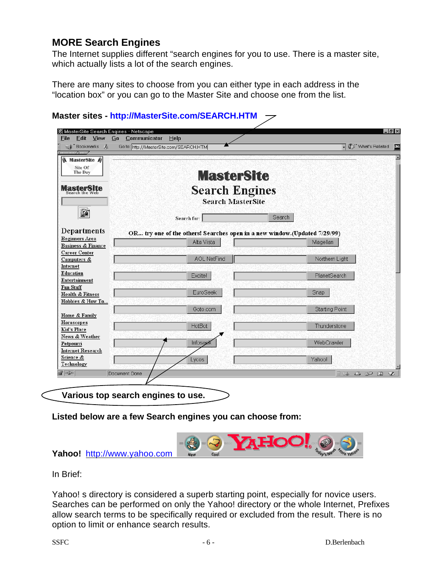# **MORE Search Engines**

The Internet supplies different "search engines for you to use. There is a master site, which actually lists a lot of the search engines.

There are many sites to choose from you can either type in each address in the "location box" or you can go to the Master Site and choose one from the list.

| <b>MAC</b> Bookmarks &<br>нннннг ∕ ⊧.нн            | Go to: http://MasterSite.com/SEARCH.HTM                                   | What's Related        |
|----------------------------------------------------|---------------------------------------------------------------------------|-----------------------|
| <b>A</b> MasterSite <b>A</b><br>Site Of<br>The Day | <b>MasterSite</b>                                                         |                       |
| <b>MasterSite</b>                                  | <b>Search Engines</b><br><b>Search MasterSite</b>                         |                       |
| $\mathbf{2}$                                       | Search for:                                                               | Search                |
| Departments                                        | OR try one of the others! Searches open in a new window.(Updated 7/29/99) |                       |
| <b>Beginners</b> Area                              | Alta Vista                                                                | Magellan              |
| <b>Business &amp; Finance</b>                      |                                                                           |                       |
| Career Center<br>Computers &                       | <b>AOL NetFind</b>                                                        | Northern Light        |
| Internet                                           |                                                                           |                       |
| Education                                          | Excite!                                                                   | PlanetSearch          |
| Entertainment                                      |                                                                           |                       |
| Fun Stuff                                          |                                                                           |                       |
| Health & Fitness                                   | EuroSeek                                                                  | Snap                  |
| Hobbies & How To                                   |                                                                           |                       |
| Home & Family                                      | Goto.com                                                                  | <b>Starting Point</b> |
| <b>Horoscopes</b>                                  |                                                                           |                       |
| Kid's Place                                        | HotBot                                                                    | Thunderstone          |
| News & Weather                                     |                                                                           |                       |
| Potpourri                                          | Infoseek                                                                  | WebCrawler            |
| <b>Internet Research</b>                           |                                                                           |                       |
| Science &                                          | Lycos                                                                     | Yahoo!                |
| Technology                                         |                                                                           |                       |
| $\overline{d} = \overline{b}$<br>Document: Done    |                                                                           | À.                    |

#### **Master sites - <http://MasterSite.com/SEARCH.HTM>**

**Listed below are a few Search engines you can choose from:**



In Brief:

Yahoo! s directory is considered a superb starting point, especially for novice users. Searches can be performed on only the Yahoo! directory or the whole Internet, Prefixes allow search terms to be specifically required or excluded from the result. There is no option to limit or enhance search results.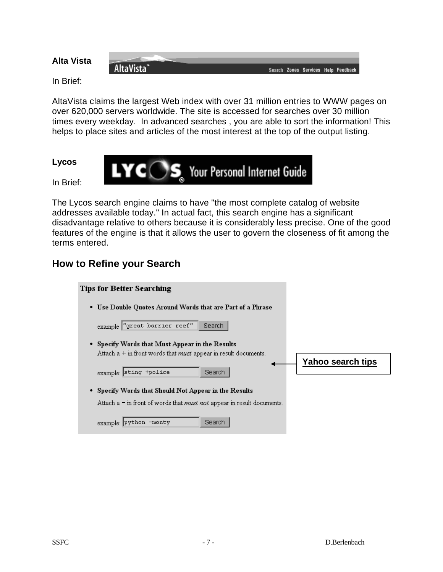# **Alta Vista**

Search Zones Services Help Feedback

In Brief:

AltaVista claims the largest Web index with over 31 million entries to WWW pages on over 620,000 servers worldwide. The site is accessed for searches over 30 million times every weekday. In advanced searches , you are able to sort the information! This helps to place sites and articles of the most interest at the top of the output listing.

#### **Lycos**

 $LYCOS$ , Your Personal Internet Guide

In Brief:

The Lycos search engine claims to have "the most complete catalog of website addresses available today." In actual fact, this search engine has a significant disadvantage relative to others because it is considerably less precise. One of the good features of the engine is that it allows the user to govern the closeness of fit among the terms entered.

## **How to Refine your Search**

AltaVista"

| 'ips for Better Searching                                                                                                   |                   |
|-----------------------------------------------------------------------------------------------------------------------------|-------------------|
| Use Double Quotes Around Words that are Part of a Phrase<br>٠                                                               |                   |
| example "great barrier reef"<br><b>Search</b>                                                                               |                   |
| • Specify Words that Must Appear in the Results<br>Attach $a + in$ front words that <i>must</i> appear in result documents. | Yahoo search tips |
| example: sting +police<br><b>Search</b>                                                                                     |                   |
| Specify Words that Should Not Appear in the Results<br>٠                                                                    |                   |
| Attach a = in front of words that <i>must not</i> appear in result documents.                                               |                   |
| Search<br> python -monty<br>example:                                                                                        |                   |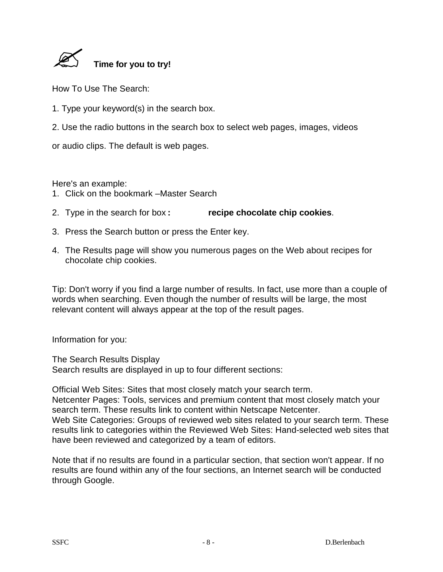

How To Use The Search:

- 1. Type your keyword(s) in the search box.
- 2. Use the radio buttons in the search box to select web pages, images, videos

or audio clips. The default is web pages.

Here's an example:

- 1. Click on the bookmark –Master Search
- 2. Type in the search for box **: recipe chocolate chip cookies**.
- 3. Press the Search button or press the Enter key.
- 4. The Results page will show you numerous pages on the Web about recipes for chocolate chip cookies.

Tip: Don't worry if you find a large number of results. In fact, use more than a couple of words when searching. Even though the number of results will be large, the most relevant content will always appear at the top of the result pages.

Information for you:

The Search Results Display Search results are displayed in up to four different sections:

Official Web Sites: Sites that most closely match your search term. Netcenter Pages: Tools, services and premium content that most closely match your search term. These results link to content within Netscape Netcenter. Web Site Categories: Groups of reviewed web sites related to your search term. These results link to categories within the Reviewed Web Sites: Hand-selected web sites that have been reviewed and categorized by a team of editors.

Note that if no results are found in a particular section, that section won't appear. If no results are found within any of the four sections, an Internet search will be conducted through Google.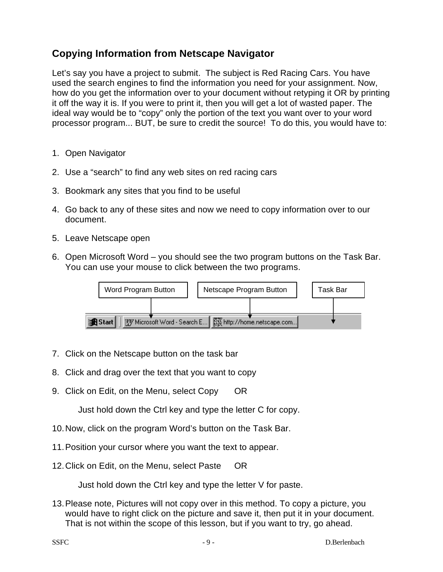# **Copying Information from Netscape Navigator**

Let's say you have a project to submit. The subject is Red Racing Cars. You have used the search engines to find the information you need for your assignment. Now, how do you get the information over to your document without retyping it OR by printing it off the way it is. If you were to print it, then you will get a lot of wasted paper. The ideal way would be to "copy" only the portion of the text you want over to your word processor program... BUT, be sure to credit the source! To do this, you would have to:

- 1. Open Navigator
- 2. Use a "search" to find any web sites on red racing cars
- 3. Bookmark any sites that you find to be useful
- 4. Go back to any of these sites and now we need to copy information over to our document.
- 5. Leave Netscape open
- 6. Open Microsoft Word you should see the two program buttons on the Task Bar. You can use your mouse to click between the two programs.



- 7. Click on the Netscape button on the task bar
- 8. Click and drag over the text that you want to copy
- 9. Click on Edit, on the Menu, select Copy OR

Just hold down the Ctrl key and type the letter C for copy.

- 10.Now, click on the program Word's button on the Task Bar.
- 11.Position your cursor where you want the text to appear.
- 12.Click on Edit, on the Menu, select Paste OR

Just hold down the Ctrl key and type the letter V for paste.

13.Please note, Pictures will not copy over in this method. To copy a picture, you would have to right click on the picture and save it, then put it in your document. That is not within the scope of this lesson, but if you want to try, go ahead.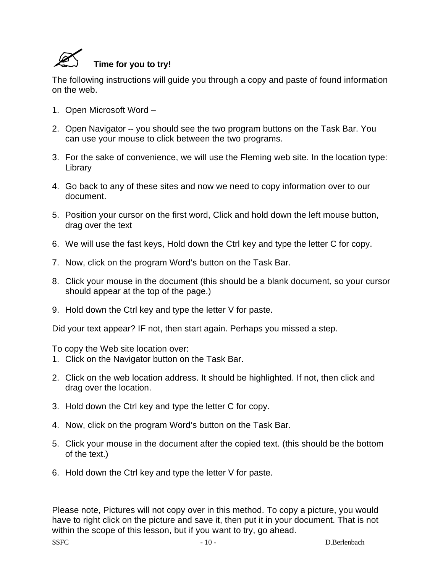

The following instructions will guide you through a copy and paste of found information on the web.

- 1. Open Microsoft Word –
- 2. Open Navigator -- you should see the two program buttons on the Task Bar. You can use your mouse to click between the two programs.
- 3. For the sake of convenience, we will use the Fleming web site. In the location type: **Library**
- 4. Go back to any of these sites and now we need to copy information over to our document.
- 5. Position your cursor on the first word, Click and hold down the left mouse button, drag over the text
- 6. We will use the fast keys, Hold down the Ctrl key and type the letter C for copy.
- 7. Now, click on the program Word's button on the Task Bar.
- 8. Click your mouse in the document (this should be a blank document, so your cursor should appear at the top of the page.)
- 9. Hold down the Ctrl key and type the letter V for paste.

Did your text appear? IF not, then start again. Perhaps you missed a step.

To copy the Web site location over:

- 1. Click on the Navigator button on the Task Bar.
- 2. Click on the web location address. It should be highlighted. If not, then click and drag over the location.
- 3. Hold down the Ctrl key and type the letter C for copy.
- 4. Now, click on the program Word's button on the Task Bar.
- 5. Click your mouse in the document after the copied text. (this should be the bottom of the text.)
- 6. Hold down the Ctrl key and type the letter V for paste.

Please note, Pictures will not copy over in this method. To copy a picture, you would have to right click on the picture and save it, then put it in your document. That is not within the scope of this lesson, but if you want to try, go ahead.